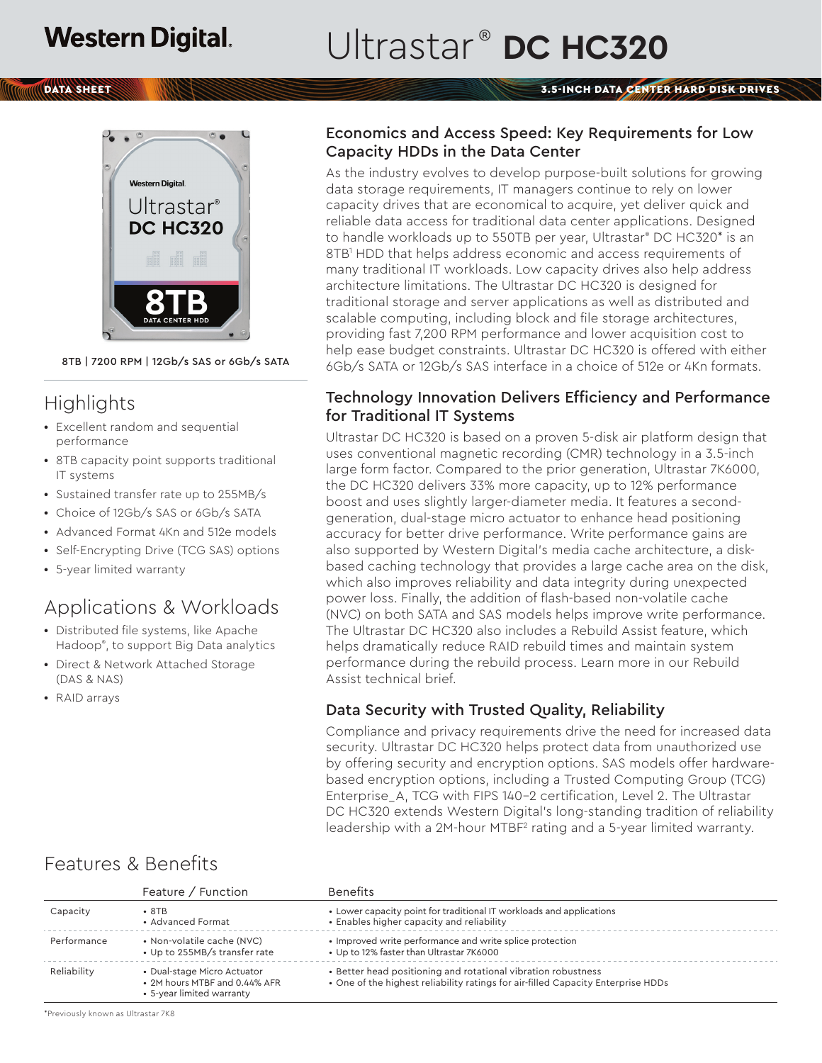# Ultrastar<sup>®</sup> DC HC320

#### **Trong School**



8TB | 7200 RPM | 12Gb/s SAS or 6Gb/s SATA

# **Highlights**

- **•** Excellent random and sequential performance
- **•** 8TB capacity point supports traditional IT systems
- **•** Sustained transfer rate up to 255MB/s
- **•** Choice of 12Gb/s SAS or 6Gb/s SATA
- **•** Advanced Format 4Kn and 512e models
- **•** Self-Encrypting Drive (TCG SAS) options
- **•** 5-year limited warranty

## Applications & Workloads

- **•** Distributed file systems, like Apache Hadoop® , to support Big Data analytics
- **•** Direct & Network Attached Storage (DAS & NAS)
- **•** RAID arrays

#### Economics and Access Speed: Key Requirements for Low Capacity HDDs in the Data Center

As the industry evolves to develop purpose-built solutions for growing data storage requirements, IT managers continue to rely on lower capacity drives that are economical to acquire, yet deliver quick and reliable data access for traditional data center applications. Designed to handle workloads up to 550TB per year, Ultrastar® DC HC320\* is an 8TB1 HDD that helps address economic and access requirements of many traditional IT workloads. Low capacity drives also help address architecture limitations. The Ultrastar DC HC320 is designed for traditional storage and server applications as well as distributed and scalable computing, including block and file storage architectures, providing fast 7,200 RPM performance and lower acquisition cost to help ease budget constraints. Ultrastar DC HC320 is offered with either 6Gb/s SATA or 12Gb/s SAS interface in a choice of 512e or 4Kn formats.

### Technology Innovation Delivers Efficiency and Performance for Traditional IT Systems

Ultrastar DC HC320 is based on a proven 5-disk air platform design that uses conventional magnetic recording (CMR) technology in a 3.5-inch large form factor. Compared to the prior generation, Ultrastar 7K6000, the DC HC320 delivers 33% more capacity, up to 12% performance boost and uses slightly larger-diameter media. It features a secondgeneration, dual-stage micro actuator to enhance head positioning accuracy for better drive performance. Write performance gains are also supported by Western Digital's media cache architecture, a diskbased caching technology that provides a large cache area on the disk, which also improves reliability and data integrity during unexpected power loss. Finally, the addition of flash-based non-volatile cache (NVC) on both SATA and SAS models helps improve write performance. The Ultrastar DC HC320 also includes a Rebuild Assist feature, which helps dramatically reduce RAID rebuild times and maintain system performance during the rebuild process. Learn more in our Rebuild Assist technical brief.

### Data Security with Trusted Quality, Reliability

Compliance and privacy requirements drive the need for increased data security. Ultrastar DC HC320 helps protect data from unauthorized use by offering security and encryption options. SAS models offer hardwarebased encryption options, including a Trusted Computing Group (TCG) Enterprise\_A, TCG with FIPS 140-2 certification, Level 2. The Ultrastar DC HC320 extends Western Digital's long-standing tradition of reliability leadership with a 2M-hour MTBF<sup>2</sup> rating and a 5-year limited warranty.

|             | Feature / Function                                                                        | <b>Benefits</b>                                                                                                                                   |  |
|-------------|-------------------------------------------------------------------------------------------|---------------------------------------------------------------------------------------------------------------------------------------------------|--|
| Capacity    | $\cdot$ 8TB<br>• Advanced Format                                                          | • Lower capacity point for traditional IT workloads and applications<br>• Enables higher capacity and reliability                                 |  |
| Performance | • Non-volatile cache (NVC)<br>• Up to 255MB/s transfer rate                               | • Improved write performance and write splice protection<br>• Up to 12% faster than Ultrastar 7K6000                                              |  |
| Reliability | • Dual-stage Micro Actuator<br>• 2M hours MTBF and 0.44% AFR<br>• 5-year limited warranty | • Better head positioning and rotational vibration robustness<br>• One of the highest reliability ratings for air-filled Capacity Enterprise HDDs |  |

## Features & Benefits